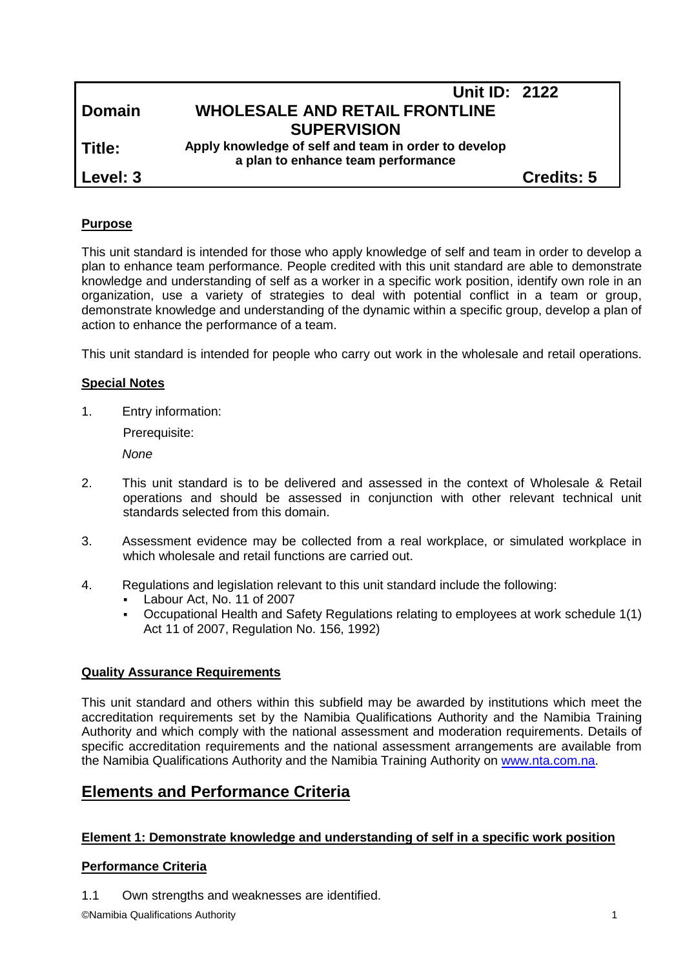|               | Unit ID: 2122                                        |                   |
|---------------|------------------------------------------------------|-------------------|
| <b>Domain</b> | <b>WHOLESALE AND RETAIL FRONTLINE</b>                |                   |
|               | <b>SUPERVISION</b>                                   |                   |
| Title:        | Apply knowledge of self and team in order to develop |                   |
|               | a plan to enhance team performance                   |                   |
| Level: 3      |                                                      | <b>Credits: 5</b> |
|               |                                                      |                   |

### **Purpose**

This unit standard is intended for those who apply knowledge of self and team in order to develop a plan to enhance team performance. People credited with this unit standard are able to demonstrate knowledge and understanding of self as a worker in a specific work position, identify own role in an organization, use a variety of strategies to deal with potential conflict in a team or group, demonstrate knowledge and understanding of the dynamic within a specific group, develop a plan of action to enhance the performance of a team.

This unit standard is intended for people who carry out work in the wholesale and retail operations.

## **Special Notes**

1. Entry information:

Prerequisite:

*None*

- 2. This unit standard is to be delivered and assessed in the context of Wholesale & Retail operations and should be assessed in conjunction with other relevant technical unit standards selected from this domain.
- 3. Assessment evidence may be collected from a real workplace, or simulated workplace in which wholesale and retail functions are carried out.
- 4. Regulations and legislation relevant to this unit standard include the following:
	- Labour Act, No. 11 of 2007
	- Occupational Health and Safety Regulations relating to employees at work schedule 1(1) Act 11 of 2007, Regulation No. 156, 1992)

#### **Quality Assurance Requirements**

This unit standard and others within this subfield may be awarded by institutions which meet the accreditation requirements set by the Namibia Qualifications Authority and the Namibia Training Authority and which comply with the national assessment and moderation requirements. Details of specific accreditation requirements and the national assessment arrangements are available from the Namibia Qualifications Authority and the Namibia Training Authority on [www.nta.com.na.](http://www.nta.com.na/)

## **Elements and Performance Criteria**

#### **Element 1: Demonstrate knowledge and understanding of self in a specific work position**

## **Performance Criteria**

1.1 Own strengths and weaknesses are identified.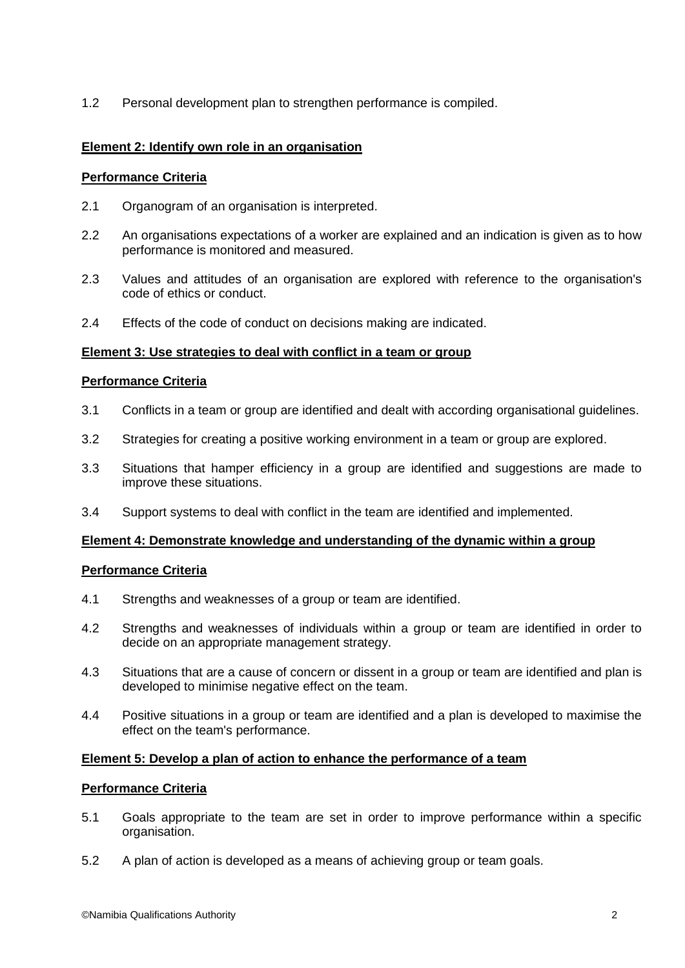1.2 Personal development plan to strengthen performance is compiled.

#### **Element 2: Identify own role in an organisation**

#### **Performance Criteria**

- 2.1 Organogram of an organisation is interpreted.
- 2.2 An organisations expectations of a worker are explained and an indication is given as to how performance is monitored and measured.
- 2.3 Values and attitudes of an organisation are explored with reference to the organisation's code of ethics or conduct.
- 2.4 Effects of the code of conduct on decisions making are indicated.

#### **Element 3: Use strategies to deal with conflict in a team or group**

#### **Performance Criteria**

- 3.1 Conflicts in a team or group are identified and dealt with according organisational guidelines.
- 3.2 Strategies for creating a positive working environment in a team or group are explored.
- 3.3 Situations that hamper efficiency in a group are identified and suggestions are made to improve these situations.
- 3.4 Support systems to deal with conflict in the team are identified and implemented.

#### **Element 4: Demonstrate knowledge and understanding of the dynamic within a group**

#### **Performance Criteria**

- 4.1 Strengths and weaknesses of a group or team are identified.
- 4.2 Strengths and weaknesses of individuals within a group or team are identified in order to decide on an appropriate management strategy.
- 4.3 Situations that are a cause of concern or dissent in a group or team are identified and plan is developed to minimise negative effect on the team.
- 4.4 Positive situations in a group or team are identified and a plan is developed to maximise the effect on the team's performance.

#### **Element 5: Develop a plan of action to enhance the performance of a team**

#### **Performance Criteria**

- 5.1 Goals appropriate to the team are set in order to improve performance within a specific organisation.
- 5.2 A plan of action is developed as a means of achieving group or team goals.